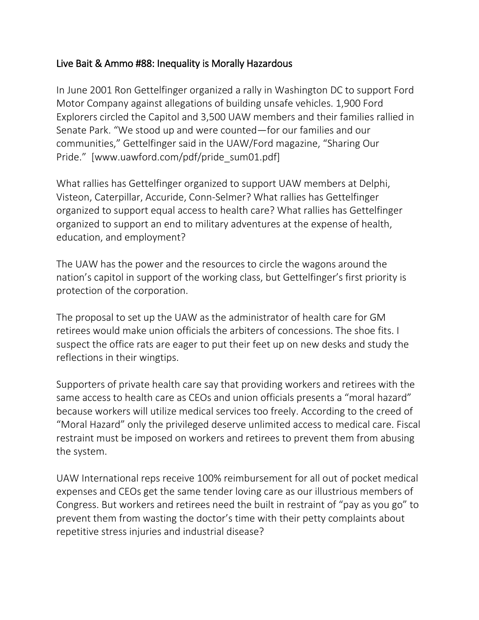## Live Bait & Ammo #88: Inequality is Morally Hazardous

In June 2001 Ron Gettelfinger organized a rally in Washington DC to support Ford Motor Company against allegations of building unsafe vehicles. 1,900 Ford Explorers circled the Capitol and 3,500 UAW members and their families rallied in Senate Park. "We stood up and were counted—for our families and our communities," Gettelfinger said in the UAW/Ford magazine, "Sharing Our Pride." [www.uawford.com/pdf/pride\_sum01.pdf]

What rallies has Gettelfinger organized to support UAW members at Delphi, Visteon, Caterpillar, Accuride, Conn-Selmer? What rallies has Gettelfinger organized to support equal access to health care? What rallies has Gettelfinger organized to support an end to military adventures at the expense of health, education, and employment?

The UAW has the power and the resources to circle the wagons around the nation's capitol in support of the working class, but Gettelfinger's first priority is protection of the corporation.

The proposal to set up the UAW as the administrator of health care for GM retirees would make union officials the arbiters of concessions. The shoe fits. I suspect the office rats are eager to put their feet up on new desks and study the reflections in their wingtips.

Supporters of private health care say that providing workers and retirees with the same access to health care as CEOs and union officials presents a "moral hazard" because workers will utilize medical services too freely. According to the creed of "Moral Hazard" only the privileged deserve unlimited access to medical care. Fiscal restraint must be imposed on workers and retirees to prevent them from abusing the system.

UAW International reps receive 100% reimbursement for all out of pocket medical expenses and CEOs get the same tender loving care as our illustrious members of Congress. But workers and retirees need the built in restraint of "pay as you go" to prevent them from wasting the doctor's time with their petty complaints about repetitive stress injuries and industrial disease?